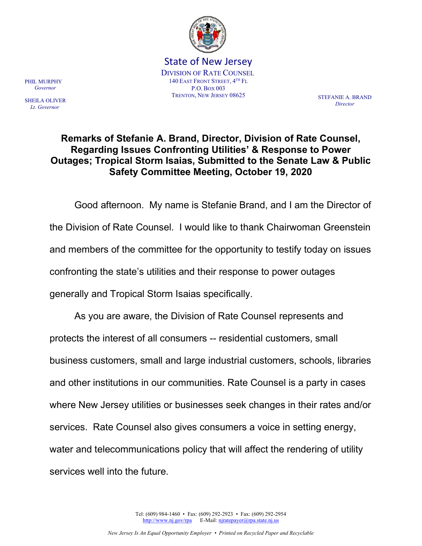

State of New Jersey DIVISION OF RATE COUNSEL 140 EAST FRONT STREET, 4 TH FL P.O. BOX 003 TRENTON, NEW JERSEY 08625 STEFANIE A. BRAND

**Director** 

## Remarks of Stefanie A. Brand, Director, Division of Rate Counsel, Regarding Issues Confronting Utilities' & Response to Power Outages; Tropical Storm Isaias, Submitted to the Senate Law & Public Safety Committee Meeting, October 19, 2020

 Good afternoon. My name is Stefanie Brand, and I am the Director of the Division of Rate Counsel. I would like to thank Chairwoman Greenstein and members of the committee for the opportunity to testify today on issues confronting the state's utilities and their response to power outages generally and Tropical Storm Isaias specifically.

 As you are aware, the Division of Rate Counsel represents and protects the interest of all consumers -- residential customers, small business customers, small and large industrial customers, schools, libraries and other institutions in our communities. Rate Counsel is a party in cases where New Jersey utilities or businesses seek changes in their rates and/or services. Rate Counsel also gives consumers a voice in setting energy, water and telecommunications policy that will affect the rendering of utility services well into the future.

PHIL MURPHY Governor

SHEILA OLIVER Lt. Governor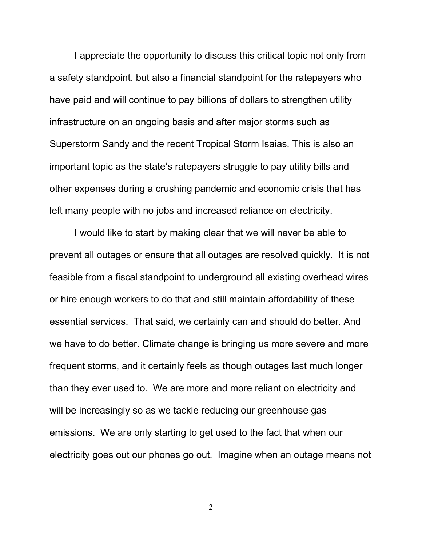I appreciate the opportunity to discuss this critical topic not only from a safety standpoint, but also a financial standpoint for the ratepayers who have paid and will continue to pay billions of dollars to strengthen utility infrastructure on an ongoing basis and after major storms such as Superstorm Sandy and the recent Tropical Storm Isaias. This is also an important topic as the state's ratepayers struggle to pay utility bills and other expenses during a crushing pandemic and economic crisis that has left many people with no jobs and increased reliance on electricity.

 I would like to start by making clear that we will never be able to prevent all outages or ensure that all outages are resolved quickly. It is not feasible from a fiscal standpoint to underground all existing overhead wires or hire enough workers to do that and still maintain affordability of these essential services. That said, we certainly can and should do better. And we have to do better. Climate change is bringing us more severe and more frequent storms, and it certainly feels as though outages last much longer than they ever used to. We are more and more reliant on electricity and will be increasingly so as we tackle reducing our greenhouse gas emissions. We are only starting to get used to the fact that when our electricity goes out our phones go out. Imagine when an outage means not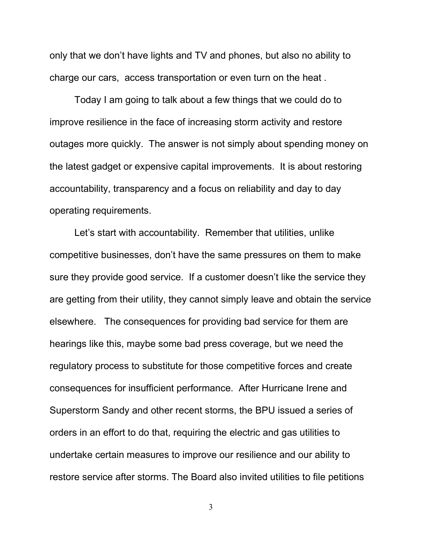only that we don't have lights and TV and phones, but also no ability to charge our cars, access transportation or even turn on the heat .

Today I am going to talk about a few things that we could do to improve resilience in the face of increasing storm activity and restore outages more quickly. The answer is not simply about spending money on the latest gadget or expensive capital improvements. It is about restoring accountability, transparency and a focus on reliability and day to day operating requirements.

 Let's start with accountability. Remember that utilities, unlike competitive businesses, don't have the same pressures on them to make sure they provide good service. If a customer doesn't like the service they are getting from their utility, they cannot simply leave and obtain the service elsewhere. The consequences for providing bad service for them are hearings like this, maybe some bad press coverage, but we need the regulatory process to substitute for those competitive forces and create consequences for insufficient performance. After Hurricane Irene and Superstorm Sandy and other recent storms, the BPU issued a series of orders in an effort to do that, requiring the electric and gas utilities to undertake certain measures to improve our resilience and our ability to restore service after storms. The Board also invited utilities to file petitions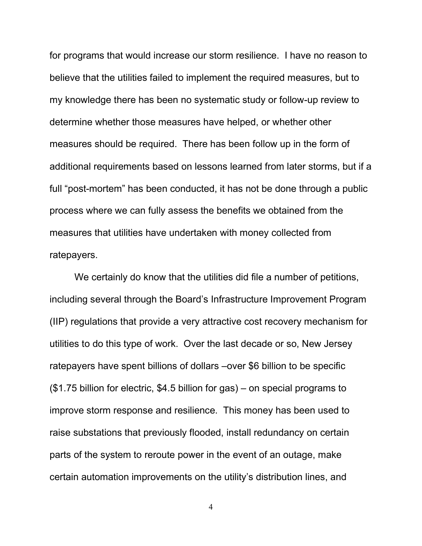for programs that would increase our storm resilience. I have no reason to believe that the utilities failed to implement the required measures, but to my knowledge there has been no systematic study or follow-up review to determine whether those measures have helped, or whether other measures should be required. There has been follow up in the form of additional requirements based on lessons learned from later storms, but if a full "post-mortem" has been conducted, it has not be done through a public process where we can fully assess the benefits we obtained from the measures that utilities have undertaken with money collected from ratepayers.

 We certainly do know that the utilities did file a number of petitions, including several through the Board's Infrastructure Improvement Program (IIP) regulations that provide a very attractive cost recovery mechanism for utilities to do this type of work. Over the last decade or so, New Jersey ratepayers have spent billions of dollars –over \$6 billion to be specific (\$1.75 billion for electric, \$4.5 billion for gas) – on special programs to improve storm response and resilience. This money has been used to raise substations that previously flooded, install redundancy on certain parts of the system to reroute power in the event of an outage, make certain automation improvements on the utility's distribution lines, and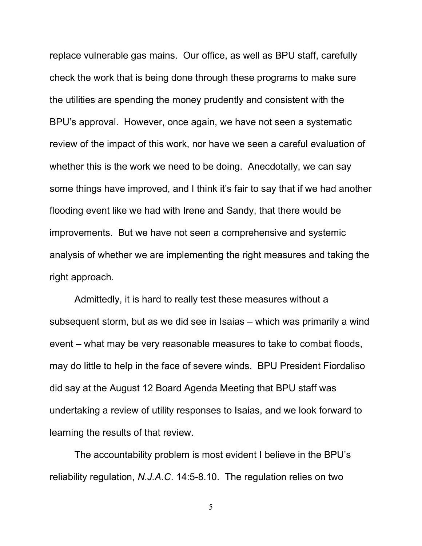replace vulnerable gas mains. Our office, as well as BPU staff, carefully check the work that is being done through these programs to make sure the utilities are spending the money prudently and consistent with the BPU's approval. However, once again, we have not seen a systematic review of the impact of this work, nor have we seen a careful evaluation of whether this is the work we need to be doing. Anecdotally, we can say some things have improved, and I think it's fair to say that if we had another flooding event like we had with Irene and Sandy, that there would be improvements. But we have not seen a comprehensive and systemic analysis of whether we are implementing the right measures and taking the right approach.

 Admittedly, it is hard to really test these measures without a subsequent storm, but as we did see in Isaias – which was primarily a wind event – what may be very reasonable measures to take to combat floods, may do little to help in the face of severe winds. BPU President Fiordaliso did say at the August 12 Board Agenda Meeting that BPU staff was undertaking a review of utility responses to Isaias, and we look forward to learning the results of that review.

 The accountability problem is most evident I believe in the BPU's reliability regulation, N.J.A.C. 14:5-8.10. The regulation relies on two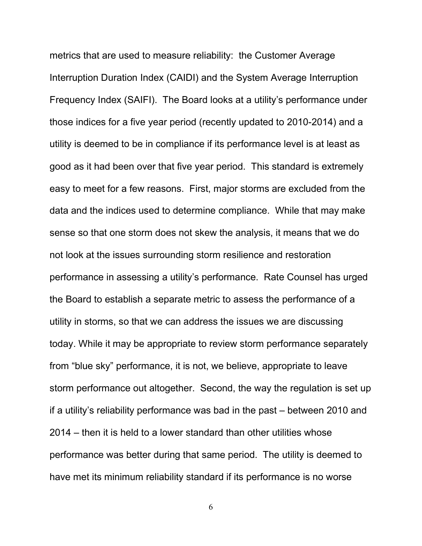metrics that are used to measure reliability: the Customer Average Interruption Duration Index (CAIDI) and the System Average Interruption Frequency Index (SAIFI). The Board looks at a utility's performance under those indices for a five year period (recently updated to 2010-2014) and a utility is deemed to be in compliance if its performance level is at least as good as it had been over that five year period. This standard is extremely easy to meet for a few reasons. First, major storms are excluded from the data and the indices used to determine compliance. While that may make sense so that one storm does not skew the analysis, it means that we do not look at the issues surrounding storm resilience and restoration performance in assessing a utility's performance. Rate Counsel has urged the Board to establish a separate metric to assess the performance of a utility in storms, so that we can address the issues we are discussing today. While it may be appropriate to review storm performance separately from "blue sky" performance, it is not, we believe, appropriate to leave storm performance out altogether. Second, the way the regulation is set up if a utility's reliability performance was bad in the past – between 2010 and 2014 – then it is held to a lower standard than other utilities whose performance was better during that same period. The utility is deemed to have met its minimum reliability standard if its performance is no worse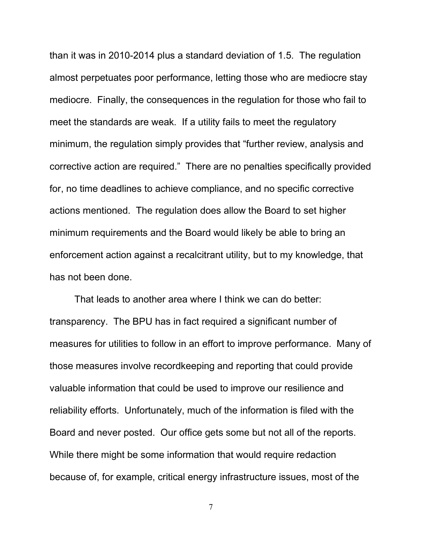than it was in 2010-2014 plus a standard deviation of 1.5. The regulation almost perpetuates poor performance, letting those who are mediocre stay mediocre. Finally, the consequences in the regulation for those who fail to meet the standards are weak. If a utility fails to meet the regulatory minimum, the regulation simply provides that "further review, analysis and corrective action are required." There are no penalties specifically provided for, no time deadlines to achieve compliance, and no specific corrective actions mentioned. The regulation does allow the Board to set higher minimum requirements and the Board would likely be able to bring an enforcement action against a recalcitrant utility, but to my knowledge, that has not been done.

 That leads to another area where I think we can do better: transparency. The BPU has in fact required a significant number of measures for utilities to follow in an effort to improve performance. Many of those measures involve recordkeeping and reporting that could provide valuable information that could be used to improve our resilience and reliability efforts. Unfortunately, much of the information is filed with the Board and never posted. Our office gets some but not all of the reports. While there might be some information that would require redaction because of, for example, critical energy infrastructure issues, most of the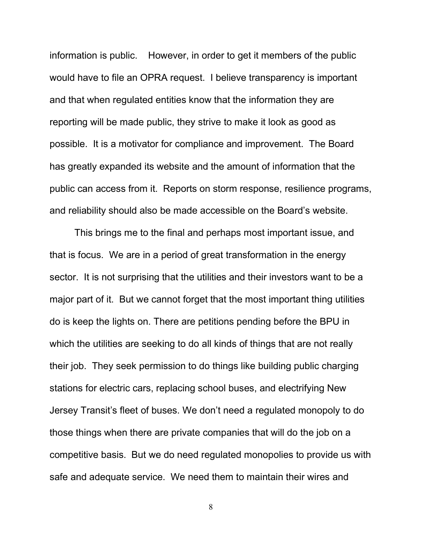information is public. However, in order to get it members of the public would have to file an OPRA request. I believe transparency is important and that when regulated entities know that the information they are reporting will be made public, they strive to make it look as good as possible. It is a motivator for compliance and improvement. The Board has greatly expanded its website and the amount of information that the public can access from it. Reports on storm response, resilience programs, and reliability should also be made accessible on the Board's website.

 This brings me to the final and perhaps most important issue, and that is focus. We are in a period of great transformation in the energy sector. It is not surprising that the utilities and their investors want to be a major part of it. But we cannot forget that the most important thing utilities do is keep the lights on. There are petitions pending before the BPU in which the utilities are seeking to do all kinds of things that are not really their job. They seek permission to do things like building public charging stations for electric cars, replacing school buses, and electrifying New Jersey Transit's fleet of buses. We don't need a regulated monopoly to do those things when there are private companies that will do the job on a competitive basis. But we do need regulated monopolies to provide us with safe and adequate service. We need them to maintain their wires and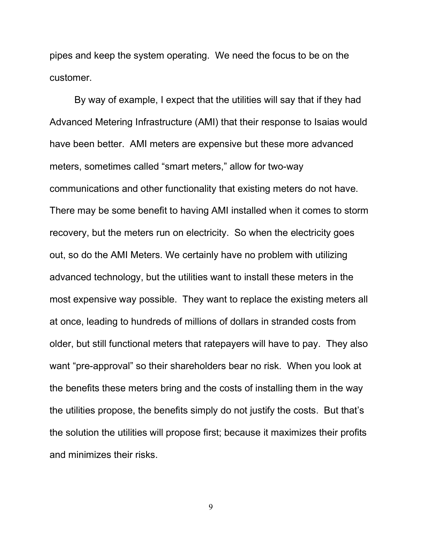pipes and keep the system operating. We need the focus to be on the customer.

 By way of example, I expect that the utilities will say that if they had Advanced Metering Infrastructure (AMI) that their response to Isaias would have been better. AMI meters are expensive but these more advanced meters, sometimes called "smart meters," allow for two-way communications and other functionality that existing meters do not have. There may be some benefit to having AMI installed when it comes to storm recovery, but the meters run on electricity. So when the electricity goes out, so do the AMI Meters. We certainly have no problem with utilizing advanced technology, but the utilities want to install these meters in the most expensive way possible. They want to replace the existing meters all at once, leading to hundreds of millions of dollars in stranded costs from older, but still functional meters that ratepayers will have to pay. They also want "pre-approval" so their shareholders bear no risk. When you look at the benefits these meters bring and the costs of installing them in the way the utilities propose, the benefits simply do not justify the costs. But that's the solution the utilities will propose first; because it maximizes their profits and minimizes their risks.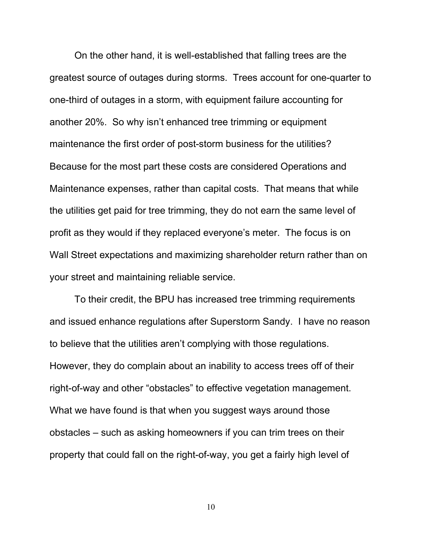On the other hand, it is well-established that falling trees are the greatest source of outages during storms. Trees account for one-quarter to one-third of outages in a storm, with equipment failure accounting for another 20%. So why isn't enhanced tree trimming or equipment maintenance the first order of post-storm business for the utilities? Because for the most part these costs are considered Operations and Maintenance expenses, rather than capital costs. That means that while the utilities get paid for tree trimming, they do not earn the same level of profit as they would if they replaced everyone's meter. The focus is on Wall Street expectations and maximizing shareholder return rather than on your street and maintaining reliable service.

 To their credit, the BPU has increased tree trimming requirements and issued enhance regulations after Superstorm Sandy. I have no reason to believe that the utilities aren't complying with those regulations. However, they do complain about an inability to access trees off of their right-of-way and other "obstacles" to effective vegetation management. What we have found is that when you suggest ways around those obstacles – such as asking homeowners if you can trim trees on their property that could fall on the right-of-way, you get a fairly high level of